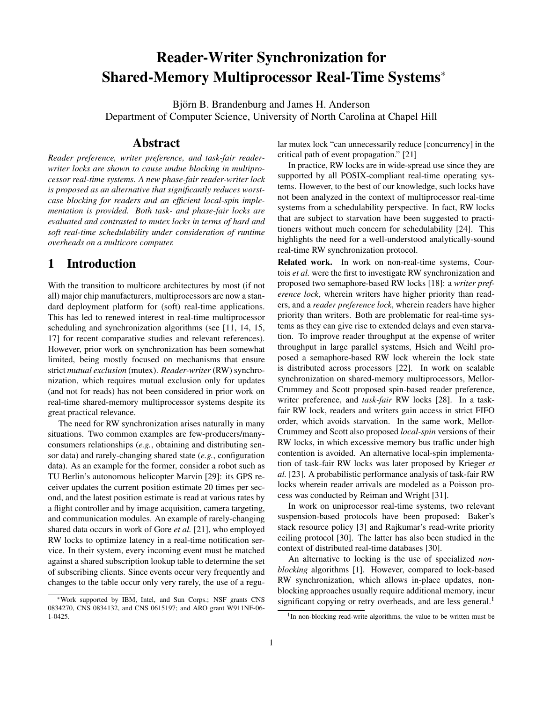# Reader-Writer Synchronization for Shared-Memory Multiprocessor Real-Time Systems<sup>∗</sup>

Björn B. Brandenburg and James H. Anderson Department of Computer Science, University of North Carolina at Chapel Hill

## Abstract

*Reader preference, writer preference, and task-fair readerwriter locks are shown to cause undue blocking in multiprocessor real-time systems. A new phase-fair reader-writer lock is proposed as an alternative that significantly reduces worstcase blocking for readers and an efficient local-spin implementation is provided. Both task- and phase-fair locks are evaluated and contrasted to mutex locks in terms of hard and soft real-time schedulability under consideration of runtime overheads on a multicore computer.*

## 1 Introduction

With the transition to multicore architectures by most (if not all) major chip manufacturers, multiprocessors are now a standard deployment platform for (soft) real-time applications. This has led to renewed interest in real-time multiprocessor scheduling and synchronization algorithms (see [11, 14, 15, 17] for recent comparative studies and relevant references). However, prior work on synchronization has been somewhat limited, being mostly focused on mechanisms that ensure strict *mutual exclusion* (mutex). *Reader-writer* (RW) synchronization, which requires mutual exclusion only for updates (and not for reads) has not been considered in prior work on real-time shared-memory multiprocessor systems despite its great practical relevance.

The need for RW synchronization arises naturally in many situations. Two common examples are few-producers/manyconsumers relationships (*e.g.*, obtaining and distributing sensor data) and rarely-changing shared state (*e.g.*, configuration data). As an example for the former, consider a robot such as TU Berlin's autonomous helicopter Marvin [29]: its GPS receiver updates the current position estimate 20 times per second, and the latest position estimate is read at various rates by a flight controller and by image acquisition, camera targeting, and communication modules. An example of rarely-changing shared data occurs in work of Gore *et al.* [21], who employed RW locks to optimize latency in a real-time notification service. In their system, every incoming event must be matched against a shared subscription lookup table to determine the set of subscribing clients. Since events occur very frequently and changes to the table occur only very rarely, the use of a regu-

<sup>∗</sup>Work supported by IBM, Intel, and Sun Corps.; NSF grants CNS 0834270, CNS 0834132, and CNS 0615197; and ARO grant W911NF-06- 1-0425.

lar mutex lock "can unnecessarily reduce [concurrency] in the critical path of event propagation." [21]

In practice, RW locks are in wide-spread use since they are supported by all POSIX-compliant real-time operating systems. However, to the best of our knowledge, such locks have not been analyzed in the context of multiprocessor real-time systems from a schedulability perspective. In fact, RW locks that are subject to starvation have been suggested to practitioners without much concern for schedulability [24]. This highlights the need for a well-understood analytically-sound real-time RW synchronization protocol.

Related work. In work on non-real-time systems, Courtois *et al.* were the first to investigate RW synchronization and proposed two semaphore-based RW locks [18]: a *writer preference lock*, wherein writers have higher priority than readers, and a *reader preference lock*, wherein readers have higher priority than writers. Both are problematic for real-time systems as they can give rise to extended delays and even starvation. To improve reader throughput at the expense of writer throughput in large parallel systems, Hsieh and Weihl proposed a semaphore-based RW lock wherein the lock state is distributed across processors [22]. In work on scalable synchronization on shared-memory multiprocessors, Mellor-Crummey and Scott proposed spin-based reader preference, writer preference, and *task-fair* RW locks [28]. In a taskfair RW lock, readers and writers gain access in strict FIFO order, which avoids starvation. In the same work, Mellor-Crummey and Scott also proposed *local-spin* versions of their RW locks, in which excessive memory bus traffic under high contention is avoided. An alternative local-spin implementation of task-fair RW locks was later proposed by Krieger *et al.* [23]. A probabilistic performance analysis of task-fair RW locks wherein reader arrivals are modeled as a Poisson process was conducted by Reiman and Wright [31].

In work on uniprocessor real-time systems, two relevant suspension-based protocols have been proposed: Baker's stack resource policy [3] and Rajkumar's read-write priority ceiling protocol [30]. The latter has also been studied in the context of distributed real-time databases [30].

An alternative to locking is the use of specialized *nonblocking* algorithms [1]. However, compared to lock-based RW synchronization, which allows in-place updates, nonblocking approaches usually require additional memory, incur significant copying or retry overheads, and are less general.<sup>1</sup>

<sup>&</sup>lt;sup>1</sup>In non-blocking read-write algorithms, the value to be written must be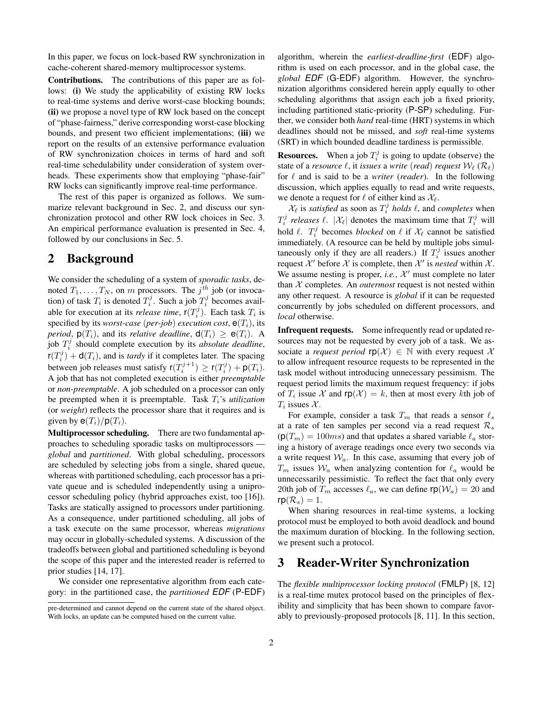In this paper, we focus on lock-based RW synchronization in cache-coherent shared-memory multiprocessor systems.

Contributions. The contributions of this paper are as follows: (i) We study the applicability of existing RW locks to real-time systems and derive worst-case blocking bounds; (ii) we propose a novel type of RW lock based on the concept of "phase-fairness," derive corresponding worst-case blocking bounds, and present two efficient implementations; (iii) we report on the results of an extensive performance evaluation of RW synchronization choices in terms of hard and soft real-time schedulability under consideration of system overheads. These experiments show that employing "phase-fair" RW locks can significantly improve real-time performance.

The rest of this paper is organized as follows. We summarize relevant background in Sec. 2, and discuss our synchronization protocol and other RW lock choices in Sec. 3. An empirical performance evaluation is presented in Sec. 4, followed by our conclusions in Sec. 5.

## 2 Background

We consider the scheduling of a system of *sporadic tasks*, denoted  $T_1, \ldots, T_N$ , on m processors. The  $j<sup>th</sup>$  job (or invocation) of task  $T_i$  is denoted  $T_i^j$ . Such a job  $T_i^j$  becomes available for execution at its *release time*,  $r(T_i^j)$ . Each task  $T_i$  is specified by its *worst-case* (*per-job*) *execution cost*,  $e(T_i)$ , its *period*,  $p(T_i)$ , and its *relative deadline*,  $d(T_i) \ge e(T_i)$ . A job  $T_i^j$  should complete execution by its *absolute deadline*,  $r(T_i^j) + d(T_i)$ , and is *tardy* if it completes later. The spacing between job releases must satisfy  $r(T_i^{j+1}) \ge r(T_i^j) + p(T_i)$ . A job that has not completed execution is either *preemptable* or *non-preemptable*. A job scheduled on a processor can only be preempted when it is preemptable. Task  $T_i$ 's *utilization* (or *weight*) reflects the processor share that it requires and is given by  $e(T_i)/p(T_i)$ .

Multiprocessor scheduling. There are two fundamental approaches to scheduling sporadic tasks on multiprocessors *global* and *partitioned*. With global scheduling, processors are scheduled by selecting jobs from a single, shared queue, whereas with partitioned scheduling, each processor has a private queue and is scheduled independently using a uniprocessor scheduling policy (hybrid approaches exist, too [16]). Tasks are statically assigned to processors under partitioning. As a consequence, under partitioned scheduling, all jobs of a task execute on the same processor, whereas *migrations* may occur in globally-scheduled systems. A discussion of the tradeoffs between global and partitioned scheduling is beyond the scope of this paper and the interested reader is referred to prior studies [14, 17].

We consider one representative algorithm from each category: in the partitioned case, the *partitioned EDF* (P-EDF) algorithm, wherein the *earliest-deadline-first* (EDF) algorithm is used on each processor, and in the global case, the *global EDF* (G-EDF) algorithm. However, the synchronization algorithms considered herein apply equally to other scheduling algorithms that assign each job a fixed priority, including partitioned static-priority (P-SP) scheduling. Further, we consider both *hard* real-time (HRT) systems in which deadlines should not be missed, and *soft* real-time systems (SRT) in which bounded deadline tardiness is permissible.

**Resources.** When a job  $T_i^j$  is going to update (observe) the state of a *resource*  $\ell$ , it *issues* a *write* (*read*) *request*  $W_{\ell}(\mathcal{R}_{\ell})$ for  $\ell$  and is said to be a *writer* (*reader*). In the following discussion, which applies equally to read and write requests, we denote a request for  $\ell$  of either kind as  $\mathcal{X}_{\ell}$ .

 $\mathcal{X}_{\ell}$  is *satisfied* as soon as  $T_i^j$  *holds*  $\ell$ , and *completes* when  $T_i^j$  *releases*  $\ell$ .  $|\mathcal{X}_{\ell}|$  denotes the maximum time that  $T_i^j$  will hold  $\ell$ .  $T_i^j$  becomes *blocked* on  $\ell$  if  $\mathcal{X}_{\ell}$  cannot be satisfied immediately. (A resource can be held by multiple jobs simultaneously only if they are all readers.) If  $T_i^j$  issues another request  $\mathcal{X}'$  before  $\mathcal{X}$  is complete, then  $\mathcal{X}'$  is *nested* within  $\mathcal{X}$ . We assume nesting is proper, *i.e.*,  $X'$  must complete no later than  $X$  completes. An *outermost* request is not nested within any other request. A resource is *global* if it can be requested concurrently by jobs scheduled on different processors, and *local* otherwise.

Infrequent requests. Some infrequently read or updated resources may not be requested by every job of a task. We associate a *request period*  $\mathsf{rp}(\mathcal{X}) \in \mathbb{N}$  with every request X to allow infrequent resource requests to be represented in the task model without introducing unnecessary pessimism. The request period limits the maximum request frequency: if jobs of  $T_i$  issue X and  $\mathsf{rp}(\mathcal{X}) = k$ , then at most every kth job of  $T_i$  issues  $\mathcal{X}$ .

For example, consider a task  $T_m$  that reads a sensor  $\ell_s$ at a rate of ten samples per second via a read request  $\mathcal{R}_s$  $(p(T_m) = 100ms)$  and that updates a shared variable  $\ell_a$  storing a history of average readings once every two seconds via a write request  $W_a$ . In this case, assuming that every job of  $T_m$  issues  $W_a$  when analyzing contention for  $\ell_a$  would be unnecessarily pessimistic. To reflect the fact that only every 20th job of  $T_m$  accesses  $\ell_a$ , we can define  $\mathsf{rp}(\mathcal{W}_a) = 20$  and  $rp(R_s) = 1.$ 

When sharing resources in real-time systems, a locking protocol must be employed to both avoid deadlock and bound the maximum duration of blocking. In the following section, we present such a protocol.

## 3 Reader-Writer Synchronization

The *flexible multiprocessor locking protocol* (FMLP) [8, 12] is a real-time mutex protocol based on the principles of flexibility and simplicity that has been shown to compare favorably to previously-proposed protocols [8, 11]. In this section,

pre-determined and cannot depend on the current state of the shared object. With locks, an update can be computed based on the current value.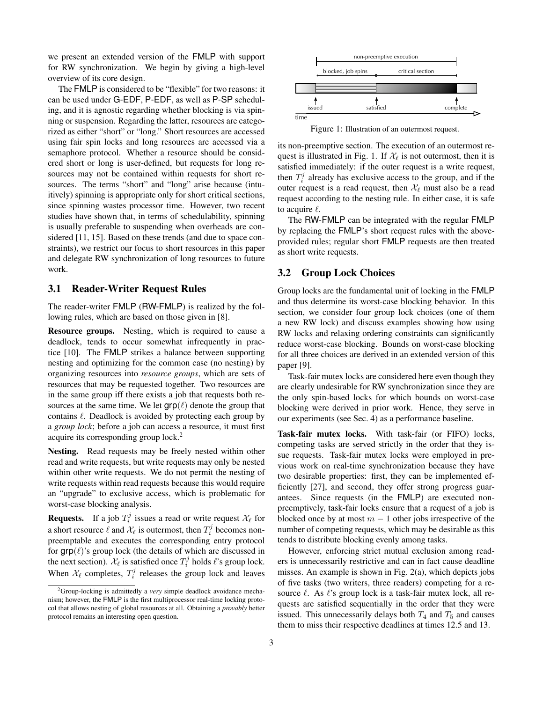we present an extended version of the FMLP with support for RW synchronization. We begin by giving a high-level overview of its core design.

The FMLP is considered to be "flexible" for two reasons: it can be used under G-EDF, P-EDF, as well as P-SP scheduling, and it is agnostic regarding whether blocking is via spinning or suspension. Regarding the latter, resources are categorized as either "short" or "long." Short resources are accessed using fair spin locks and long resources are accessed via a semaphore protocol. Whether a resource should be considered short or long is user-defined, but requests for long resources may not be contained within requests for short resources. The terms "short" and "long" arise because (intuitively) spinning is appropriate only for short critical sections, since spinning wastes processor time. However, two recent studies have shown that, in terms of schedulability, spinning is usually preferable to suspending when overheads are considered [11, 15]. Based on these trends (and due to space constraints), we restrict our focus to short resources in this paper and delegate RW synchronization of long resources to future work.

#### 3.1 Reader-Writer Request Rules

The reader-writer FMLP (RW-FMLP) is realized by the following rules, which are based on those given in [8].

Resource groups. Nesting, which is required to cause a deadlock, tends to occur somewhat infrequently in practice [10]. The FMLP strikes a balance between supporting nesting and optimizing for the common case (no nesting) by organizing resources into *resource groups*, which are sets of resources that may be requested together. Two resources are in the same group iff there exists a job that requests both resources at the same time. We let  $\text{grp}(\ell)$  denote the group that contains  $\ell$ . Deadlock is avoided by protecting each group by a *group lock*; before a job can access a resource, it must first acquire its corresponding group lock.<sup>2</sup>

Nesting. Read requests may be freely nested within other read and write requests, but write requests may only be nested within other write requests. We do not permit the nesting of write requests within read requests because this would require an "upgrade" to exclusive access, which is problematic for worst-case blocking analysis.

**Requests.** If a job  $T_i^j$  issues a read or write request  $\mathcal{X}_{\ell}$  for a short resource  $\ell$  and  $\mathcal{X}_{\ell}$  is outermost, then  $T_i^j$  becomes nonpreemptable and executes the corresponding entry protocol for  $\text{grp}(\ell)$ 's group lock (the details of which are discussed in the next section).  $\mathcal{X}_{\ell}$  is satisfied once  $T_i^j$  holds  $\ell$ 's group lock. When  $\mathcal{X}_{\ell}$  completes,  $T_i^j$  releases the group lock and leaves



Figure 1: Illustration of an outermost request.

its non-preemptive section. The execution of an outermost request is illustrated in Fig. 1. If  $\mathcal{X}_{\ell}$  is not outermost, then it is satisfied immediately: if the outer request is a write request, then  $T_i^j$  already has exclusive access to the group, and if the outer request is a read request, then  $\mathcal{X}_{\ell}$  must also be a read request according to the nesting rule. In either case, it is safe to acquire  $\ell$ .

The RW-FMLP can be integrated with the regular FMLP by replacing the FMLP's short request rules with the aboveprovided rules; regular short FMLP requests are then treated as short write requests.

#### 3.2 Group Lock Choices

Group locks are the fundamental unit of locking in the FMLP and thus determine its worst-case blocking behavior. In this section, we consider four group lock choices (one of them a new RW lock) and discuss examples showing how using RW locks and relaxing ordering constraints can significantly reduce worst-case blocking. Bounds on worst-case blocking for all three choices are derived in an extended version of this paper [9].

Task-fair mutex locks are considered here even though they are clearly undesirable for RW synchronization since they are the only spin-based locks for which bounds on worst-case blocking were derived in prior work. Hence, they serve in our experiments (see Sec. 4) as a performance baseline.

Task-fair mutex locks. With task-fair (or FIFO) locks, competing tasks are served strictly in the order that they issue requests. Task-fair mutex locks were employed in previous work on real-time synchronization because they have two desirable properties: first, they can be implemented efficiently [27], and second, they offer strong progress guarantees. Since requests (in the FMLP) are executed nonpreemptively, task-fair locks ensure that a request of a job is blocked once by at most  $m - 1$  other jobs irrespective of the number of competing requests, which may be desirable as this tends to distribute blocking evenly among tasks.

However, enforcing strict mutual exclusion among readers is unnecessarily restrictive and can in fact cause deadline misses. An example is shown in Fig. 2(a), which depicts jobs of five tasks (two writers, three readers) competing for a resource  $\ell$ . As  $\ell$ 's group lock is a task-fair mutex lock, all requests are satisfied sequentially in the order that they were issued. This unnecessarily delays both  $T_4$  and  $T_5$  and causes them to miss their respective deadlines at times 12.5 and 13.

<sup>2</sup>Group-locking is admittedly a *very* simple deadlock avoidance mechanism; however, the FMLP is the first multiprocessor real-time locking protocol that allows nesting of global resources at all. Obtaining a *provably* better protocol remains an interesting open question.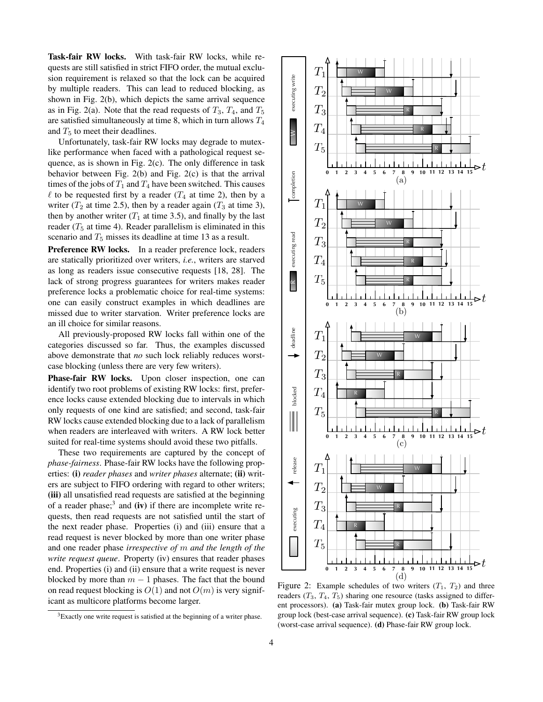Task-fair RW locks. With task-fair RW locks, while requests are still satisfied in strict FIFO order, the mutual exclusion requirement is relaxed so that the lock can be acquired by multiple readers. This can lead to reduced blocking, as shown in Fig. 2(b), which depicts the same arrival sequence as in Fig. 2(a). Note that the read requests of  $T_3$ ,  $T_4$ , and  $T_5$ are satisfied simultaneously at time 8, which in turn allows  $T_4$ and  $T_5$  to meet their deadlines.

Unfortunately, task-fair RW locks may degrade to mutexlike performance when faced with a pathological request sequence, as is shown in Fig. 2(c). The only difference in task behavior between Fig. 2(b) and Fig. 2(c) is that the arrival times of the jobs of  $T_1$  and  $T_4$  have been switched. This causes  $\ell$  to be requested first by a reader ( $T_4$  at time 2), then by a writer  $(T_2$  at time 2.5), then by a reader again  $(T_3$  at time 3), then by another writer  $(T_1$  at time 3.5), and finally by the last reader ( $T_5$  at time 4). Reader parallelism is eliminated in this scenario and  $T_5$  misses its deadline at time 13 as a result.

Preference RW locks. In a reader preference lock, readers are statically prioritized over writers, *i.e.*, writers are starved as long as readers issue consecutive requests [18, 28]. The lack of strong progress guarantees for writers makes reader preference locks a problematic choice for real-time systems: one can easily construct examples in which deadlines are missed due to writer starvation. Writer preference locks are an ill choice for similar reasons.

All previously-proposed RW locks fall within one of the categories discussed so far. Thus, the examples discussed above demonstrate that *no* such lock reliably reduces worstcase blocking (unless there are very few writers).

Phase-fair RW locks. Upon closer inspection, one can identify two root problems of existing RW locks: first, preference locks cause extended blocking due to intervals in which only requests of one kind are satisfied; and second, task-fair RW locks cause extended blocking due to a lack of parallelism when readers are interleaved with writers. A RW lock better suited for real-time systems should avoid these two pitfalls.

These two requirements are captured by the concept of *phase-fairness*. Phase-fair RW locks have the following properties: (i) *reader phases* and *writer phases* alternate; (ii) writers are subject to FIFO ordering with regard to other writers; (iii) all unsatisfied read requests are satisfied at the beginning of a reader phase;<sup>3</sup> and (iv) if there are incomplete write requests, then read requests are not satisfied until the start of the next reader phase. Properties (i) and (iii) ensure that a read request is never blocked by more than one writer phase and one reader phase *irrespective of* m *and the length of the write request queue*. Property (iv) ensures that reader phases end. Properties (i) and (ii) ensure that a write request is never blocked by more than  $m - 1$  phases. The fact that the bound on read request blocking is  $O(1)$  and not  $O(m)$  is very significant as multicore platforms become larger.

 $3E$ xactly one write request is satisfied at the beginning of a writer phase.



Figure 2: Example schedules of two writers  $(T_1, T_2)$  and three readers  $(T_3, T_4, T_5)$  sharing one resource (tasks assigned to different processors). (a) Task-fair mutex group lock. (b) Task-fair RW group lock (best-case arrival sequence). (c) Task-fair RW group lock (worst-case arrival sequence). (d) Phase-fair RW group lock.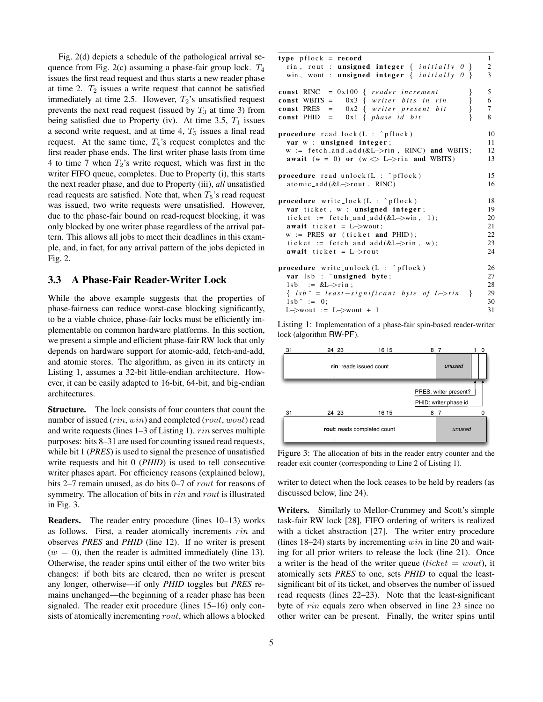Fig. 2(d) depicts a schedule of the pathological arrival sequence from Fig. 2(c) assuming a phase-fair group lock.  $T_4$ issues the first read request and thus starts a new reader phase at time 2.  $T_2$  issues a write request that cannot be satisfied immediately at time 2.5. However,  $T_2$ 's unsatisfied request prevents the next read request (issued by  $T_3$  at time 3) from being satisfied due to Property (iv). At time 3.5,  $T_1$  issues a second write request, and at time 4,  $T_5$  issues a final read request. At the same time,  $T_4$ 's request completes and the first reader phase ends. The first writer phase lasts from time 4 to time 7 when  $T_2$ 's write request, which was first in the writer FIFO queue, completes. Due to Property (i), this starts the next reader phase, and due to Property (iii), *all* unsatisfied read requests are satisfied. Note that, when  $T_5$ 's read request was issued, two write requests were unsatisfied. However, due to the phase-fair bound on read-request blocking, it was only blocked by one writer phase regardless of the arrival pattern. This allows all jobs to meet their deadlines in this example, and, in fact, for any arrival pattern of the jobs depicted in Fig. 2.

#### 3.3 A Phase-Fair Reader-Writer Lock

While the above example suggests that the properties of phase-fairness can reduce worst-case blocking significantly, to be a viable choice, phase-fair locks must be efficiently implementable on common hardware platforms. In this section, we present a simple and efficient phase-fair RW lock that only depends on hardware support for atomic-add, fetch-and-add, and atomic stores. The algorithm, as given in its entirety in Listing 1, assumes a 32-bit little-endian architecture. However, it can be easily adapted to 16-bit, 64-bit, and big-endian architectures.

Structure. The lock consists of four counters that count the number of issued (rin, win) and completed (rout, wout) read and write requests (lines 1–3 of Listing 1). rin serves multiple purposes: bits 8–31 are used for counting issued read requests, while bit 1 (*PRES*) is used to signal the presence of unsatisfied write requests and bit 0 (*PHID*) is used to tell consecutive writer phases apart. For efficiency reasons (explained below), bits 2–7 remain unused, as do bits 0–7 of rout for reasons of symmetry. The allocation of bits in rin and rout is illustrated in Fig. 3.

Readers. The reader entry procedure (lines 10–13) works as follows. First, a reader atomically increments  $rin$  and observes *PRES* and *PHID* (line 12). If no writer is present  $(w = 0)$ , then the reader is admitted immediately (line 13). Otherwise, the reader spins until either of the two writer bits changes: if both bits are cleared, then no writer is present any longer, otherwise—if only *PHID* toggles but *PRES* remains unchanged—the beginning of a reader phase has been signaled. The reader exit procedure (lines 15–16) only consists of atomically incrementing rout, which allows a blocked

| $type$ pflock = record                                                                                                                                               | $\mathbf{1}$          |
|----------------------------------------------------------------------------------------------------------------------------------------------------------------------|-----------------------|
| rin, rout: <b>unsigned integer</b> { <i>initially</i> $0$ }                                                                                                          | $\overline{c}$        |
| win, wout : <b>unsigned integer</b> { <i>initially 0</i> }                                                                                                           | 3                     |
| const RINC = $0x100$ { reader increment<br>const WBITS = $0x3$ { writer bits in rin<br>const PRES = $0x2$ { writer present bit<br>const PHID = $0x1 \{ phase id bit$ | 5<br>6<br>$\tau$<br>8 |
| <b>procedure</b> $read\_lock(L : ^{n}pflock)$                                                                                                                        | 10                    |
| var w : unsigned integer;                                                                                                                                            | 11                    |
| $w := \text{ fetch\_and\_add}(\&L \rightarrow \text{rin}, \text{ RINC})$ and WBITS;                                                                                  | 12                    |
| await (w = 0) or (w $\bigcirc$ L->rin and WBITS)                                                                                                                     | 13                    |
| <b>procedure</b> read_unlock( $L : \hat{p}$ flock)                                                                                                                   | 15                    |
| $atomic\_add(&L\rightarrow\text{rout}, RINC)$                                                                                                                        | 16                    |
| <b>procedure</b> write_lock( $L : \hat{p}$ flock)                                                                                                                    | 18                    |
| var ticket, w : unsigned integer;                                                                                                                                    | 19                    |
| ticket := $fetch_and.add(&L->win, 1);$                                                                                                                               | 20                    |
| await ticket = $L \rightarrow$ wout;                                                                                                                                 | 21                    |
| $w := PRES$ or (ticket and PHID);                                                                                                                                    | 22                    |
| ticket := fetch_and_add( $&L\rightarrow$ rin, w);                                                                                                                    | 23                    |
| <b>await</b> ticket = $L \rightarrow$ rout                                                                                                                           | 24                    |
| <b>procedure</b> write_unlock( $L : \hat{p}$ flock)                                                                                                                  | 26                    |
| var 1sb : ^unsigned byte;                                                                                                                                            | 27                    |
| $1sb := &L \rightarrow r \in \mathbb{R}$                                                                                                                             | 28                    |
| $\{ \text{lsb}^{\wedge} = \text{least-signification} \text{ byte of } L \rightarrow \text{rin } \}$                                                                  | 29                    |
| $1sh^{\frown} := 0$ :                                                                                                                                                | 30                    |
| $L \rightarrow$ wout := $L \rightarrow$ wout + 1                                                                                                                     | 31                    |

Listing 1: Implementation of a phase-fair spin-based reader-writer lock (algorithm RW-PF).



Figure 3: The allocation of bits in the reader entry counter and the reader exit counter (corresponding to Line 2 of Listing 1).

writer to detect when the lock ceases to be held by readers (as discussed below, line 24).

Writers. Similarly to Mellor-Crummey and Scott's simple task-fair RW lock [28], FIFO ordering of writers is realized with a ticket abstraction [27]. The writer entry procedure (lines  $18-24$ ) starts by incrementing  $win$  in line 20 and waiting for all prior writers to release the lock (line 21). Once a writer is the head of the writer queue (ticket  $=$  wout), it atomically sets *PRES* to one, sets *PHID* to equal the leastsignificant bit of its ticket, and observes the number of issued read requests (lines 22–23). Note that the least-significant byte of rin equals zero when observed in line 23 since no other writer can be present. Finally, the writer spins until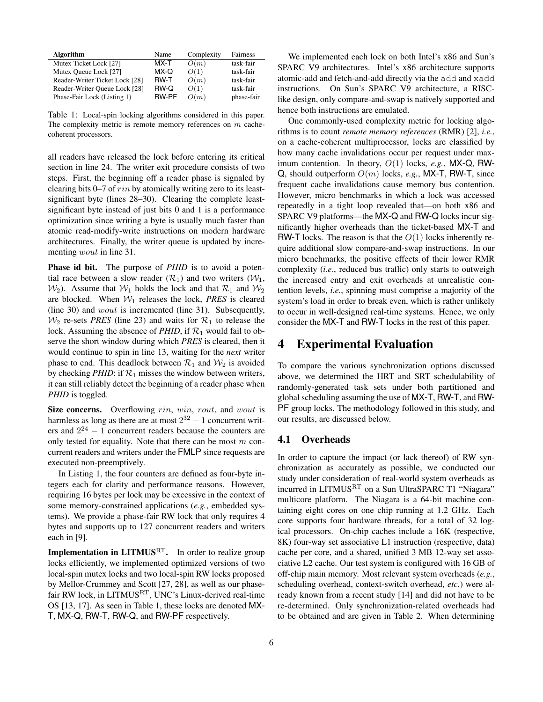| <b>Algorithm</b>               | Name  | Complexity | Fairness   |
|--------------------------------|-------|------------|------------|
| Mutex Ticket Lock [27]         | MX-T  | O(m)       | task-fair  |
| Mutex Queue Lock [27]          | MX-Q  | O(1)       | task-fair  |
| Reader-Writer Ticket Lock [28] | RW-T  | O(m)       | task-fair  |
| Reader-Writer Queue Lock [28]  | RW-Q  | O(1)       | task-fair  |
| Phase-Fair Lock (Listing 1)    | RW-PF | O(m)       | phase-fair |

Table 1: Local-spin locking algorithms considered in this paper. The complexity metric is remote memory references on  $m$  cachecoherent processors.

all readers have released the lock before entering its critical section in line 24. The writer exit procedure consists of two steps. First, the beginning off a reader phase is signaled by clearing bits 0–7 of rin by atomically writing zero to its leastsignificant byte (lines 28–30). Clearing the complete leastsignificant byte instead of just bits 0 and 1 is a performance optimization since writing a byte is usually much faster than atomic read-modify-write instructions on modern hardware architectures. Finally, the writer queue is updated by incrementing *wout* in line 31.

**Phase id bit.** The purpose of *PHID* is to avoid a potential race between a slow reader  $(\mathcal{R}_1)$  and two writers  $(\mathcal{W}_1)$ ,  $W_2$ ). Assume that  $W_1$  holds the lock and that  $\mathcal{R}_1$  and  $W_2$ are blocked. When  $W_1$  releases the lock, *PRES* is cleared (line 30) and wout is incremented (line 31). Subsequently,  $W_2$  re-sets *PRES* (line 23) and waits for  $\mathcal{R}_1$  to release the lock. Assuming the absence of *PHID*, if  $\mathcal{R}_1$  would fail to observe the short window during which *PRES* is cleared, then it would continue to spin in line 13, waiting for the *next* writer phase to end. This deadlock between  $\mathcal{R}_1$  and  $\mathcal{W}_2$  is avoided by checking *PHID*: if  $\mathcal{R}_1$  misses the window between writers, it can still reliably detect the beginning of a reader phase when *PHID* is toggled.

Size concerns. Overflowing rin, win, rout, and wout is harmless as long as there are at most  $2^{32} - 1$  concurrent writers and  $2^{24} - 1$  concurrent readers because the counters are only tested for equality. Note that there can be most  $m$  concurrent readers and writers under the FMLP since requests are executed non-preemptively.

In Listing 1, the four counters are defined as four-byte integers each for clarity and performance reasons. However, requiring 16 bytes per lock may be excessive in the context of some memory-constrained applications (*e.g.*, embedded systems). We provide a phase-fair RW lock that only requires 4 bytes and supports up to 127 concurrent readers and writers each in [9].

**Implementation in LITMUS**<sup>RT</sup>. In order to realize group locks efficiently, we implemented optimized versions of two local-spin mutex locks and two local-spin RW locks proposed by Mellor-Crummey and Scott [27, 28], as well as our phasefair RW lock, in LITMUS<sup>RT</sup>, UNC's Linux-derived real-time OS [13, 17]. As seen in Table 1, these locks are denoted MX-T, MX-Q, RW-T, RW-Q, and RW-PF respectively.

We implemented each lock on both Intel's x86 and Sun's SPARC V9 architectures. Intel's x86 architecture supports atomic-add and fetch-and-add directly via the add and xadd instructions. On Sun's SPARC V9 architecture, a RISClike design, only compare-and-swap is natively supported and hence both instructions are emulated.

One commonly-used complexity metric for locking algorithms is to count *remote memory references* (RMR) [2], *i.e.*, on a cache-coherent multiprocessor, locks are classified by how many cache invalidations occur per request under maximum contention. In theory, O(1) locks, *e.g.*, MX-Q, RW-Q, should outperform O(m) locks, *e.g.*, MX-T, RW-T, since frequent cache invalidations cause memory bus contention. However, micro benchmarks in which a lock was accessed repeatedly in a tight loop revealed that—on both x86 and SPARC V9 platforms—the MX-Q and RW-Q locks incur significantly higher overheads than the ticket-based MX-T and RW-T locks. The reason is that the  $O(1)$  locks inherently require additional slow compare-and-swap instructions. In our micro benchmarks, the positive effects of their lower RMR complexity (*i.e.*, reduced bus traffic) only starts to outweigh the increased entry and exit overheads at unrealistic contention levels, *i.e.*, spinning must comprise a majority of the system's load in order to break even, which is rather unlikely to occur in well-designed real-time systems. Hence, we only consider the MX-T and RW-T locks in the rest of this paper.

## 4 Experimental Evaluation

To compare the various synchronization options discussed above, we determined the HRT and SRT schedulability of randomly-generated task sets under both partitioned and global scheduling assuming the use of MX-T, RW-T, and RW-PF group locks. The methodology followed in this study, and our results, are discussed below.

### 4.1 Overheads

In order to capture the impact (or lack thereof) of RW synchronization as accurately as possible, we conducted our study under consideration of real-world system overheads as incurred in LITMUS<sup>RT</sup> on a Sun UltraSPARC T1 "Niagara" multicore platform. The Niagara is a 64-bit machine containing eight cores on one chip running at 1.2 GHz. Each core supports four hardware threads, for a total of 32 logical processors. On-chip caches include a 16K (respective, 8K) four-way set associative L1 instruction (respective, data) cache per core, and a shared, unified 3 MB 12-way set associative L2 cache. Our test system is configured with 16 GB of off-chip main memory. Most relevant system overheads (*e.g.*, scheduling overhead, context-switch overhead, *etc.*) were already known from a recent study [14] and did not have to be re-determined. Only synchronization-related overheads had to be obtained and are given in Table 2. When determining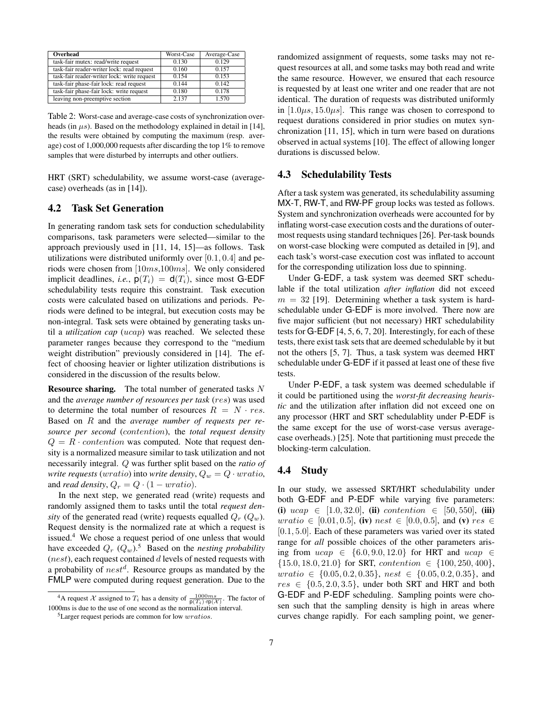| Overhead                                    | Worst-Case | Average-Case |
|---------------------------------------------|------------|--------------|
| task-fair mutex: read/write request         | 0.130      | 0.129        |
| task-fair reader-writer lock: read request  | 0.160      | 0.157        |
| task-fair reader-writer lock: write request | 0.154      | 0.153        |
| task-fair phase-fair lock: read request     | 0.144      | 0.142        |
| task-fair phase-fair lock: write request    | 0.180      | 0.178        |
| leaving non-preemptive section              | 2.137      | 1.570        |

Table 2: Worst-case and average-case costs of synchronization overheads (in  $\mu s$ ). Based on the methodology explained in detail in [14], the results were obtained by computing the maximum (resp. average) cost of 1,000,000 requests after discarding the top 1% to remove samples that were disturbed by interrupts and other outliers.

HRT (SRT) schedulability, we assume worst-case (averagecase) overheads (as in [14]).

#### 4.2 Task Set Generation

In generating random task sets for conduction schedulability comparisons, task parameters were selected—similar to the approach previously used in [11, 14, 15]—as follows. Task utilizations were distributed uniformly over  $[0.1, 0.4]$  and periods were chosen from [10ms,100ms]. We only considered implicit deadlines, *i.e.*,  $p(T_i) = d(T_i)$ , since most G-EDF schedulability tests require this constraint. Task execution costs were calculated based on utilizations and periods. Periods were defined to be integral, but execution costs may be non-integral. Task sets were obtained by generating tasks until a *utilization cap* (ucap) was reached. We selected these parameter ranges because they correspond to the "medium weight distribution" previously considered in [14]. The effect of choosing heavier or lighter utilization distributions is considered in the discussion of the results below.

**Resource sharing.** The total number of generated tasks  $N$ and the *average number of resources per task* (res) was used to determine the total number of resources  $R = N \cdot res$ . Based on R and the *average number of requests per resource per second* (contention), the *total request density*  $Q = R \cdot contention$  was computed. Note that request density is a normalized measure similar to task utilization and not necessarily integral. Q was further split based on the *ratio of write requests* (*wratio*) into *write density*,  $Q_w = Q \cdot \text{wratio}$ , and *read density*,  $Q_r = Q \cdot (1 - \text{wratio}).$ 

In the next step, we generated read (write) requests and randomly assigned them to tasks until the total *request density* of the generated read (write) requests equalled  $Q_r$  ( $Q_w$ ). Request density is the normalized rate at which a request is issued.<sup>4</sup> We chose a request period of one unless that would have exceeded  $Q_r$   $(Q_w)$ .<sup>5</sup> Based on the *nesting probability*  $(nest)$ , each request contained d levels of nested requests with a probability of  $nest^d$ . Resource groups as mandated by the FMLP were computed during request generation. Due to the randomized assignment of requests, some tasks may not request resources at all, and some tasks may both read and write the same resource. However, we ensured that each resource is requested by at least one writer and one reader that are not identical. The duration of requests was distributed uniformly in  $[1.0\mu s, 15.0\mu s]$ . This range was chosen to correspond to request durations considered in prior studies on mutex synchronization [11, 15], which in turn were based on durations observed in actual systems [10]. The effect of allowing longer durations is discussed below.

#### 4.3 Schedulability Tests

After a task system was generated, its schedulability assuming MX-T, RW-T, and RW-PF group locks was tested as follows. System and synchronization overheads were accounted for by inflating worst-case execution costs and the durations of outermost requests using standard techniques [26]. Per-task bounds on worst-case blocking were computed as detailed in [9], and each task's worst-case execution cost was inflated to account for the corresponding utilization loss due to spinning.

Under G-EDF, a task system was deemed SRT schedulable if the total utilization *after inflation* did not exceed  $m = 32$  [19]. Determining whether a task system is hardschedulable under G-EDF is more involved. There now are five major sufficient (but not necessary) HRT schedulability tests for G-EDF [4, 5, 6, 7, 20]. Interestingly, for each of these tests, there exist task sets that are deemed schedulable by it but not the others [5, 7]. Thus, a task system was deemed HRT schedulable under G-EDF if it passed at least one of these five tests.

Under P-EDF, a task system was deemed schedulable if it could be partitioned using the *worst-fit decreasing heuristic* and the utilization after inflation did not exceed one on any processor (HRT and SRT schedulablity under P-EDF is the same except for the use of worst-case versus averagecase overheads.) [25]. Note that partitioning must precede the blocking-term calculation.

### 4.4 Study

In our study, we assessed SRT/HRT schedulability under both G-EDF and P-EDF while varying five parameters: (i)  $ucap \in [1.0, 32.0],$  (ii) contention  $\in [50, 550],$  (iii) *wratio* ∈ [0.01, 0.5], (iv) *nest* ∈ [0.0, 0.5], and (v) *res* ∈ [0.1, 5.0]. Each of these parameters was varied over its stated range for *all* possible choices of the other parameters arising from  $ucap \in \{6.0, 9.0, 12.0\}$  for HRT and  $ucap \in$  $\{15.0, 18.0, 21.0\}$  for SRT, contention  $\in \{100, 250, 400\}$ ,  $uration \in \{0.05, 0.2, 0.35\}, \; nest \in \{0.05, 0.2, 0.35\}, \;and$  $res \in \{0.5, 2.0, 3.5\}$ , under both SRT and HRT and both G-EDF and P-EDF scheduling. Sampling points were chosen such that the sampling density is high in areas where curves change rapidly. For each sampling point, we gener-

<sup>&</sup>lt;sup>4</sup>A request X assigned to  $T_i$  has a density of  $\frac{1000ms}{p(T_i) \cdot rp(X)}$ . The factor of 1000ms is due to the use of one second as the normalization interval.

<sup>5</sup>Larger request periods are common for low wratios.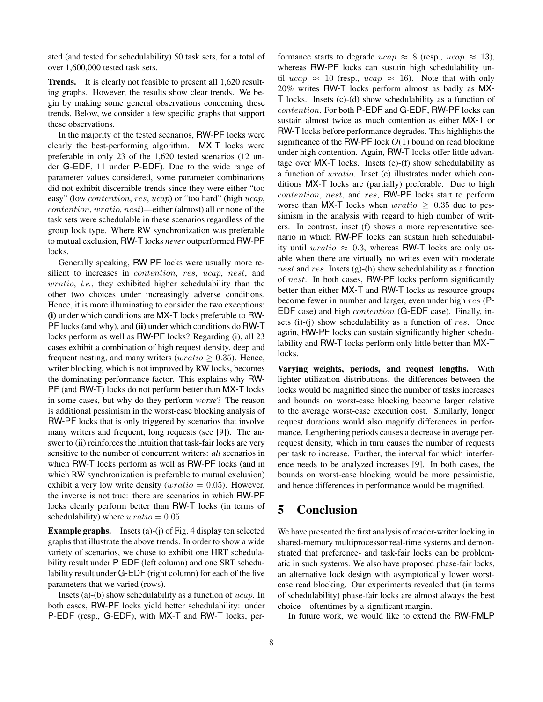ated (and tested for schedulability) 50 task sets, for a total of over 1,600,000 tested task sets.

Trends. It is clearly not feasible to present all 1,620 resulting graphs. However, the results show clear trends. We begin by making some general observations concerning these trends. Below, we consider a few specific graphs that support these observations.

In the majority of the tested scenarios, RW-PF locks were clearly the best-performing algorithm. MX-T locks were preferable in only 23 of the 1,620 tested scenarios (12 under G-EDF, 11 under P-EDF). Due to the wide range of parameter values considered, some parameter combinations did not exhibit discernible trends since they were either "too easy" (low *contention, res, ucap*) or "too hard" (high *ucap*, contention, wratio, nest)—either (almost) all or none of the task sets were schedulable in these scenarios regardless of the group lock type. Where RW synchronization was preferable to mutual exclusion, RW-T locks *never* outperformed RW-PF locks.

Generally speaking, RW-PF locks were usually more resilient to increases in *contention*, res, ucap, nest, and wratio, *i.e.*, they exhibited higher schedulability than the other two choices under increasingly adverse conditions. Hence, it is more illuminating to consider the two exceptions: (i) under which conditions are MX-T locks preferable to RW-PF locks (and why), and (ii) under which conditions do RW-T locks perform as well as RW-PF locks? Regarding (i), all 23 cases exhibit a combination of high request density, deep and frequent nesting, and many writers ( $wratio > 0.35$ ). Hence, writer blocking, which is not improved by RW locks, becomes the dominating performance factor. This explains why RW-PF (and RW-T) locks do not perform better than MX-T locks in some cases, but why do they perform *worse*? The reason is additional pessimism in the worst-case blocking analysis of RW-PF locks that is only triggered by scenarios that involve many writers and frequent, long requests (see [9]). The answer to (ii) reinforces the intuition that task-fair locks are very sensitive to the number of concurrent writers: *all* scenarios in which RW-T locks perform as well as RW-PF locks (and in which RW synchronization is preferable to mutual exclusion) exhibit a very low write density ( $uration = 0.05$ ). However, the inverse is not true: there are scenarios in which RW-PF locks clearly perform better than RW-T locks (in terms of schedulability) where  $wratio = 0.05$ .

Example graphs. Insets (a)-(j) of Fig. 4 display ten selected graphs that illustrate the above trends. In order to show a wide variety of scenarios, we chose to exhibit one HRT schedulability result under P-EDF (left column) and one SRT schedulability result under G-EDF (right column) for each of the five parameters that we varied (rows).

Insets (a)-(b) show schedulability as a function of ucap. In both cases, RW-PF locks yield better schedulability: under P-EDF (resp., G-EDF), with MX-T and RW-T locks, performance starts to degrade  $ucap \approx 8$  (resp.,  $ucap \approx 13$ ), whereas RW-PF locks can sustain high schedulability until ucap  $\approx$  10 (resp., ucap  $\approx$  16). Note that with only 20% writes RW-T locks perform almost as badly as MX-T locks. Insets (c)-(d) show schedulability as a function of contention. For both P-EDF and G-EDF, RW-PF locks can sustain almost twice as much contention as either MX-T or RW-T locks before performance degrades. This highlights the significance of the RW-PF lock  $O(1)$  bound on read blocking under high contention. Again, RW-T locks offer little advantage over MX-T locks. Insets (e)-(f) show schedulability as a function of wratio. Inset (e) illustrates under which conditions MX-T locks are (partially) preferable. Due to high contention, nest, and res, RW-PF locks start to perform worse than MX-T locks when  $uration \geq 0.35$  due to pessimism in the analysis with regard to high number of writers. In contrast, inset (f) shows a more representative scenario in which RW-PF locks can sustain high schedulability until  $uration \approx 0.3$ , whereas RW-T locks are only usable when there are virtually no writes even with moderate nest and res. Insets (g)-(h) show schedulability as a function of nest. In both cases, RW-PF locks perform significantly better than either MX-T and RW-T locks as resource groups become fewer in number and larger, even under high res (P-EDF case) and high contention (G-EDF case). Finally, insets (i)-(j) show schedulability as a function of res. Once again, RW-PF locks can sustain significantly higher schedulability and RW-T locks perform only little better than MX-T locks.

Varying weights, periods, and request lengths. With lighter utilization distributions, the differences between the locks would be magnified since the number of tasks increases and bounds on worst-case blocking become larger relative to the average worst-case execution cost. Similarly, longer request durations would also magnify differences in performance. Lengthening periods causes a decrease in average perrequest density, which in turn causes the number of requests per task to increase. Further, the interval for which interference needs to be analyzed increases [9]. In both cases, the bounds on worst-case blocking would be more pessimistic, and hence differences in performance would be magnified.

## 5 Conclusion

We have presented the first analysis of reader-writer locking in shared-memory multiprocessor real-time systems and demonstrated that preference- and task-fair locks can be problematic in such systems. We also have proposed phase-fair locks, an alternative lock design with asymptotically lower worstcase read blocking. Our experiments revealed that (in terms of schedulability) phase-fair locks are almost always the best choice—oftentimes by a significant margin.

In future work, we would like to extend the RW-FMLP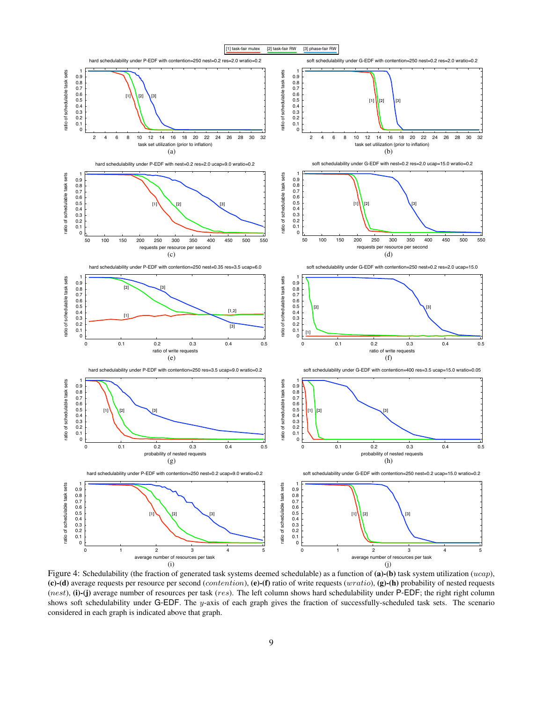

Figure 4: Schedulability (the fraction of generated task systems deemed schedulable) as a function of (a)-(b) task system utilization (ucap), (c)-(d) average requests per resource per second (*contention*), (e)-(f) ratio of write requests (wratio), (g)-(h) probability of nested requests (nest), (i)-(j) average number of resources per task (res). The left column shows hard schedulability under  $P$ -EDF; the right right column shows soft schedulability under G-EDF. The y-axis of each graph gives the fraction of successfully-scheduled task sets. The scenario considered in each graph is indicated above that graph.